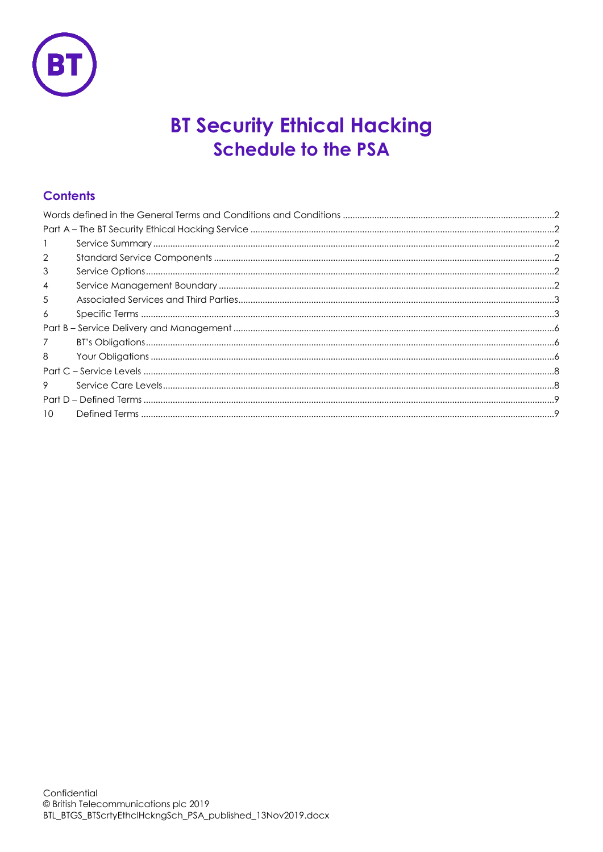

# **BT Security Ethical Hacking Schedule to the PSA**

# **Contents**

| $\overline{2}$  |  |
|-----------------|--|
| 3               |  |
| $\overline{4}$  |  |
| 5               |  |
| 6               |  |
|                 |  |
| $\overline{7}$  |  |
| 8               |  |
|                 |  |
| 9               |  |
|                 |  |
| 10 <sup>2</sup> |  |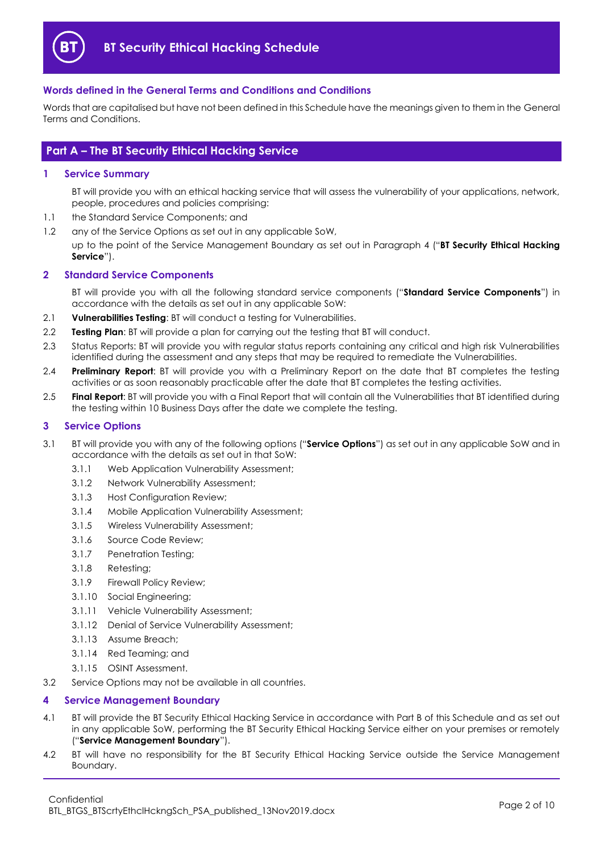

## <span id="page-1-0"></span>**Words defined in the General Terms and Conditions and Conditions**

Words that are capitalised but have not been defined in this Schedule have the meanings given to them in the General Terms and Conditions.

## <span id="page-1-1"></span>**Part A – The BT Security Ethical Hacking Service**

#### <span id="page-1-2"></span>**1 Service Summary**

BT will provide you with an ethical hacking service that will assess the vulnerability of your applications, network, people, procedures and policies comprising:

- 1.1 the Standard Service Components; and
- 1.2 any of the Service Options as set out in any applicable SoW,

up to the point of the Service Management Boundary as set out in Paragraph [4](#page-1-5) ("**BT Security Ethical Hacking Service**").

## <span id="page-1-3"></span>**2 Standard Service Components**

BT will provide you with all the following standard service components ("**Standard Service Components**") in accordance with the details as set out in any applicable SoW:

- 2.1 **Vulnerabilities Testing**: BT will conduct a testing for Vulnerabilities.
- 2.2 **Testing Plan**: BT will provide a plan for carrying out the testing that BT will conduct.
- 2.3 Status Reports: BT will provide you with regular status reports containing any critical and high risk Vulnerabilities identified during the assessment and any steps that may be required to remediate the Vulnerabilities.
- 2.4 **Preliminary Report**: BT will provide you with a Preliminary Report on the date that BT completes the testing activities or as soon reasonably practicable after the date that BT completes the testing activities.
- 2.5 **Final Report**: BT will provide you with a Final Report that will contain all the Vulnerabilities that BT identified during the testing within 10 Business Days after the date we complete the testing.

#### <span id="page-1-4"></span>**3 Service Options**

- 3.1 BT will provide you with any of the following options ("**Service Options**") as set out in any applicable SoW and in accordance with the details as set out in that SoW:
	- 3.1.1 Web Application Vulnerability Assessment;
	- 3.1.2 Network Vulnerability Assessment;
	- 3.1.3 Host Configuration Review;
	- 3.1.4 Mobile Application Vulnerability Assessment;
	- 3.1.5 Wireless Vulnerability Assessment;
	- 3.1.6 Source Code Review;
	- 3.1.7 Penetration Testing;
	- 3.1.8 Retesting;
	- 3.1.9 Firewall Policy Review;
	- 3.1.10 Social Engineering;
	- 3.1.11 Vehicle Vulnerability Assessment;
	- 3.1.12 Denial of Service Vulnerability Assessment;
	- 3.1.13 Assume Breach;
	- 3.1.14 Red Teaming; and
	- 3.1.15 OSINT Assessment.
- 3.2 Service Options may not be available in all countries.

#### <span id="page-1-5"></span>**4 Service Management Boundary**

- <span id="page-1-6"></span>4.1 BT will provide the BT Security Ethical Hacking Service in accordance with Part B of this Schedule and as set out in any applicable SoW, performing the BT Security Ethical Hacking Service either on your premises or remotely ("**Service Management Boundary**").
- 4.2 BT will have no responsibility for the BT Security Ethical Hacking Service outside the Service Management Boundary.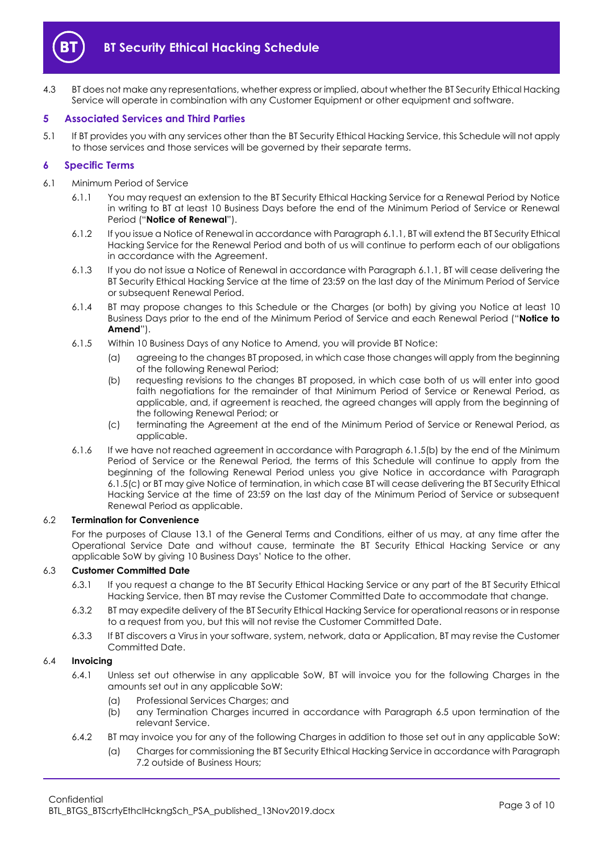

4.3 BT does not make any representations, whether express or implied, about whether the BT Security Ethical Hacking Service will operate in combination with any Customer Equipment or other equipment and software.

#### <span id="page-2-0"></span>**5 Associated Services and Third Parties**

5.1 If BT provides you with any services other than the BT Security Ethical Hacking Service, this Schedule will not apply to those services and those services will be governed by their separate terms.

#### <span id="page-2-1"></span>**6 Specific Terms**

- <span id="page-2-5"></span><span id="page-2-2"></span>6.1 Minimum Period of Service
	- 6.1.1 You may request an extension to the BT Security Ethical Hacking Service for a Renewal Period by Notice in writing to BT at least 10 Business Days before the end of the Minimum Period of Service or Renewal Period ("**Notice of Renewal**").
	- 6.1.2 If you issue a Notice of Renewal in accordance with Paragrap[h 6.1.1,](#page-2-2) BT will extend the BT Security Ethical Hacking Service for the Renewal Period and both of us will continue to perform each of our obligations in accordance with the Agreement.
	- 6.1.3 If you do not issue a Notice of Renewal in accordance with Paragraph [6.1.1,](#page-2-2) BT will cease delivering the BT Security Ethical Hacking Service at the time of 23:59 on the last day of the Minimum Period of Service or subsequent Renewal Period.
	- 6.1.4 BT may propose changes to this Schedule or the Charges (or both) by giving you Notice at least 10 Business Days prior to the end of the Minimum Period of Service and each Renewal Period ("**Notice to Amend**").
	- 6.1.5 Within 10 Business Days of any Notice to Amend, you will provide BT Notice:
		- (a) agreeing to the changes BT proposed, in which case those changes will apply from the beginning of the following Renewal Period;
		- (b) requesting revisions to the changes BT proposed, in which case both of us will enter into good faith negotiations for the remainder of that Minimum Period of Service or Renewal Period, as applicable, and, if agreement is reached, the agreed changes will apply from the beginning of the following Renewal Period; or
		- (c) terminating the Agreement at the end of the Minimum Period of Service or Renewal Period, as applicable.
	- 6.1.6 If we have not reached agreement in accordance with Paragraph [6.1.5\(b\)](#page-2-3) by the end of the Minimum Period of Service or the Renewal Period, the terms of this Schedule will continue to apply from the beginning of the following Renewal Period unless you give Notice in accordance with Paragraph [6.1.5\(c\)](#page-2-4) or BT may give Notice of termination, in which case BT will cease delivering the BT Security Ethical Hacking Service at the time of 23:59 on the last day of the Minimum Period of Service or subsequent Renewal Period as applicable.

#### <span id="page-2-4"></span><span id="page-2-3"></span>6.2 **Termination for Convenience**

For the purposes of Clause 13.1 of the General Terms and Conditions, either of us may, at any time after the Operational Service Date and without cause, terminate the BT Security Ethical Hacking Service or any applicable SoW by giving 10 Business Days' Notice to the other.

#### 6.3 **Customer Committed Date**

- 6.3.1 If you request a change to the BT Security Ethical Hacking Service or any part of the BT Security Ethical Hacking Service, then BT may revise the Customer Committed Date to accommodate that change.
- 6.3.2 BT may expedite delivery of the BT Security Ethical Hacking Service for operational reasons or in response to a request from you, but this will not revise the Customer Committed Date.
- 6.3.3 If BT discovers a Virus in your software, system, network, data or Application, BT may revise the Customer Committed Date.

#### 6.4 **Invoicing**

- 6.4.1 Unless set out otherwise in any applicable SoW, BT will invoice you for the following Charges in the amounts set out in any applicable SoW:
	- (a) Professional Services Charges; and
	- (b) any Termination Charges incurred in accordance with Paragraph [6.5](#page-3-0) upon termination of the relevant Service.
- 6.4.2 BT may invoice you for any of the following Charges in addition to those set out in any applicable SoW:
	- (a) Charges for commissioning the BT Security Ethical Hacking Service in accordance with Paragraph [7.2](#page-5-3) outside of Business Hours;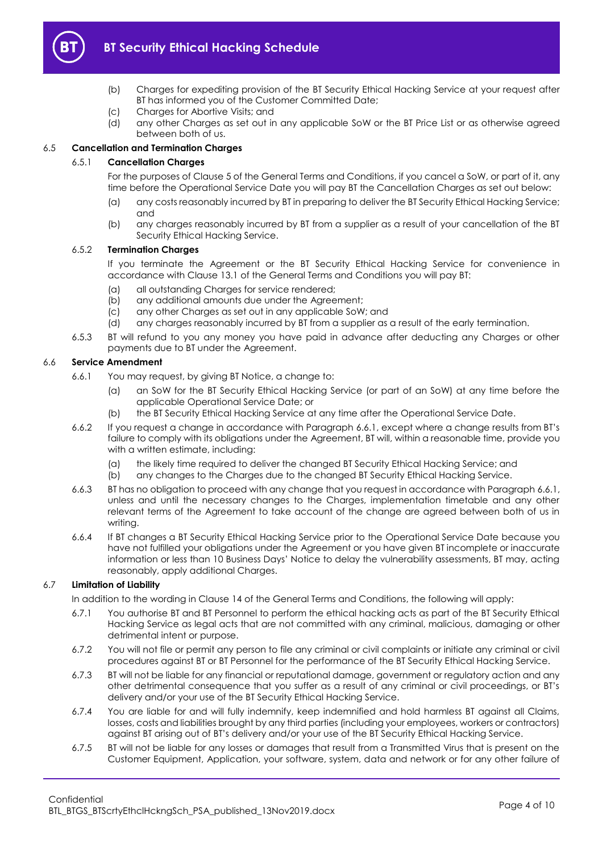

- (b) Charges for expediting provision of the BT Security Ethical Hacking Service at your request after BT has informed you of the Customer Committed Date;
- (c) Charges for Abortive Visits; and
- (d) any other Charges as set out in any applicable SoW or the BT Price List or as otherwise agreed between both of us.

## <span id="page-3-0"></span>6.5 **Cancellation and Termination Charges**

## 6.5.1 **Cancellation Charges**

For the purposes of Clause 5 of the General Terms and Conditions, if you cancel a SoW, or part of it, any time before the Operational Service Date you will pay BT the Cancellation Charges as set out below:

- (a) any costs reasonably incurred by BT in preparing to deliver the BT Security Ethical Hacking Service; and
- (b) any charges reasonably incurred by BT from a supplier as a result of your cancellation of the BT Security Ethical Hacking Service.

#### 6.5.2 **Termination Charges**

If you terminate the Agreement or the BT Security Ethical Hacking Service for convenience in accordance with Clause 13.1 of the General Terms and Conditions you will pay BT:

- (a) all outstanding Charges for service rendered;
- (b) any additional amounts due under the Agreement;
- (c) any other Charges as set out in any applicable SoW; and
- (d) any charges reasonably incurred by BT from a supplier as a result of the early termination.
- 6.5.3 BT will refund to you any money you have paid in advance after deducting any Charges or other payments due to BT under the Agreement.

#### <span id="page-3-1"></span>6.6 **Service Amendment**

- 6.6.1 You may request, by giving BT Notice, a change to:
	- (a) an SoW for the BT Security Ethical Hacking Service (or part of an SoW) at any time before the applicable Operational Service Date; or
	- (b) the BT Security Ethical Hacking Service at any time after the Operational Service Date.
- 6.6.2 If you request a change in accordance with Paragrap[h 6.6.1](#page-3-1), except where a change results from BT's failure to comply with its obligations under the Agreement, BT will, within a reasonable time, provide you with a written estimate, including:
	- (a) the likely time required to deliver the changed BT Security Ethical Hacking Service; and
	- (b) any changes to the Charges due to the changed BT Security Ethical Hacking Service.
- 6.6.3 BT has no obligation to proceed with any change that you request in accordance with Paragrap[h 6.6.1,](#page-3-1)  unless and until the necessary changes to the Charges, implementation timetable and any other relevant terms of the Agreement to take account of the change are agreed between both of us in writing.
- 6.6.4 If BT changes a BT Security Ethical Hacking Service prior to the Operational Service Date because you have not fulfilled your obligations under the Agreement or you have given BT incomplete or inaccurate information or less than 10 Business Days' Notice to delay the vulnerability assessments, BT may, acting reasonably, apply additional Charges.

## 6.7 **Limitation of Liability**

In addition to the wording in Clause 14 of the General Terms and Conditions, the following will apply:

- 6.7.1 You authorise BT and BT Personnel to perform the ethical hacking acts as part of the BT Security Ethical Hacking Service as legal acts that are not committed with any criminal, malicious, damaging or other detrimental intent or purpose.
- 6.7.2 You will not file or permit any person to file any criminal or civil complaints or initiate any criminal or civil procedures against BT or BT Personnel for the performance of the BT Security Ethical Hacking Service.
- 6.7.3 BT will not be liable for any financial or reputational damage, government or regulatory action and any other detrimental consequence that you suffer as a result of any criminal or civil proceedings, or BT's delivery and/or your use of the BT Security Ethical Hacking Service.
- 6.7.4 You are liable for and will fully indemnify, keep indemnified and hold harmless BT against all Claims, losses, costs and liabilities brought by any third parties (including your employees, workers or contractors) against BT arising out of BT's delivery and/or your use of the BT Security Ethical Hacking Service.
- 6.7.5 BT will not be liable for any losses or damages that result from a Transmitted Virus that is present on the Customer Equipment, Application, your software, system, data and network or for any other failure of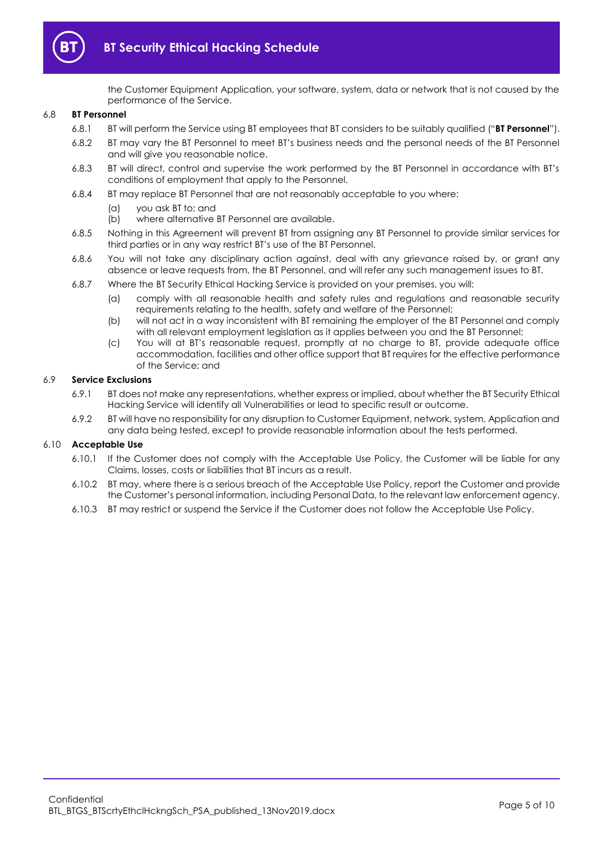

the Customer Equipment Application, your software, system, data or network that is not caused by the performance of the Service.

#### <span id="page-4-0"></span>6.8 **BT Personnel**

- 6.8.1 BT will perform the Service using BT employees that BT considers to be suitably qualified ("**BT Personnel**").
- 6.8.2 BT may vary the BT Personnel to meet BT's business needs and the personal needs of the BT Personnel and will give you reasonable notice.
- 6.8.3 BT will direct, control and supervise the work performed by the BT Personnel in accordance with BT's conditions of employment that apply to the Personnel.
- 6.8.4 BT may replace BT Personnel that are not reasonably acceptable to you where:
	- (a) you ask BT to; and
	- (b) where alternative BT Personnel are available.
- 6.8.5 Nothing in this Agreement will prevent BT from assigning any BT Personnel to provide similar services for third parties or in any way restrict BT's use of the BT Personnel.
- 6.8.6 You will not take any disciplinary action against, deal with any grievance raised by, or grant any absence or leave requests from, the BT Personnel, and will refer any such management issues to BT.
- 6.8.7 Where the BT Security Ethical Hacking Service is provided on your premises, you will:
	- (a) comply with all reasonable health and safety rules and regulations and reasonable security requirements relating to the health, safety and welfare of the Personnel;
	- (b) will not act in a way inconsistent with BT remaining the employer of the BT Personnel and comply with all relevant employment legislation as it applies between you and the BT Personnel;
	- (c) You will at BT's reasonable request, promptly at no charge to BT, provide adequate office accommodation, facilities and other office support that BT requires for the effective performance of the Service; and

#### 6.9 **Service Exclusions**

- 6.9.1 BT does not make any representations, whether express or implied, about whether the BT Security Ethical Hacking Service will identify all Vulnerabilities or lead to specific result or outcome.
- 6.9.2 BT will have no responsibility for any disruption to Customer Equipment, network, system, Application and any data being tested, except to provide reasonable information about the tests performed.

#### 6.10 **Acceptable Use**

- 6.10.1 If the Customer does not comply with the Acceptable Use Policy, the Customer will be liable for any Claims, losses, costs or liabilities that BT incurs as a result.
- 6.10.2 BT may, where there is a serious breach of the Acceptable Use Policy, report the Customer and provide the Customer's personal information, including Personal Data, to the relevant law enforcement agency.
- 6.10.3 BT may restrict or suspend the Service if the Customer does not follow the Acceptable Use Policy.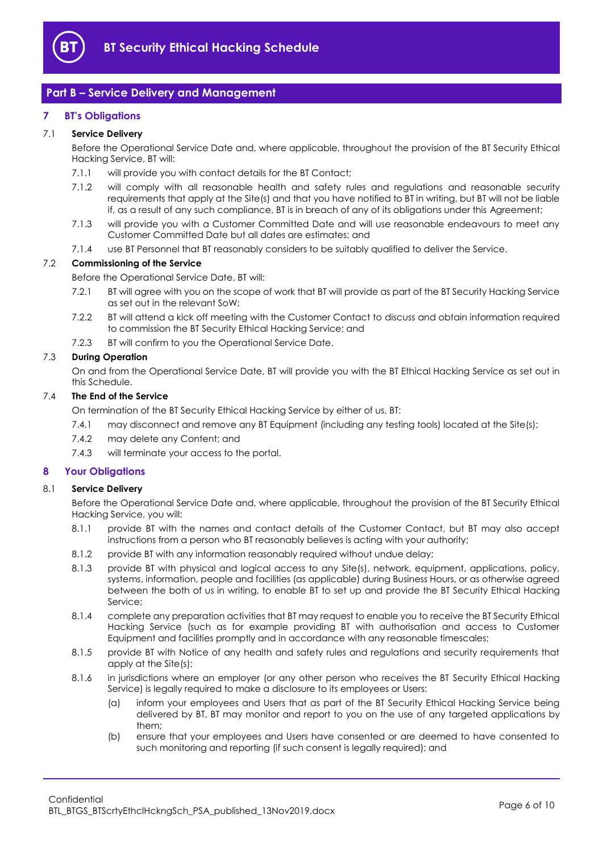

## <span id="page-5-0"></span>**Part B – Service Delivery and Management**

### <span id="page-5-1"></span>**7 BT's Obligations**

#### 7.1 **Service Delivery**

Before the Operational Service Date and, where applicable, throughout the provision of the BT Security Ethical Hacking Service, BT will:

- 7.1.1 will provide you with contact details for the BT Contact;
- 7.1.2 will comply with all reasonable health and safety rules and regulations and reasonable security requirements that apply at the Site(s) and that you have notified to BT in writing, but BT will not be liable if, as a result of any such compliance, BT is in breach of any of its obligations under this Agreement;
- 7.1.3 will provide you with a Customer Committed Date and will use reasonable endeavours to meet any Customer Committed Date but all dates are estimates; and
- 7.1.4 use BT Personnel that BT reasonably considers to be suitably qualified to deliver the Service.

#### <span id="page-5-3"></span>7.2 **Commissioning of the Service**

Before the Operational Service Date, BT will:

- 7.2.1 BT will agree with you on the scope of work that BT will provide as part of the BT Security Hacking Service as set out in the relevant SoW;
- 7.2.2 BT will attend a kick off meeting with the Customer Contact to discuss and obtain information required to commission the BT Security Ethical Hacking Service; and
- 7.2.3 BT will confirm to you the Operational Service Date.

#### 7.3 **During Operation**

On and from the Operational Service Date, BT will provide you with the BT Ethical Hacking Service as set out in this Schedule.

#### 7.4 **The End of the Service**

On termination of the BT Security Ethical Hacking Service by either of us, BT:

- 7.4.1 may disconnect and remove any BT Equipment (including any testing tools) located at the Site(s);
- 7.4.2 may delete any Content; and
- 7.4.3 will terminate your access to the portal.

#### <span id="page-5-2"></span>**8 Your Obligations**

#### 8.1 **Service Delivery**

Before the Operational Service Date and, where applicable, throughout the provision of the BT Security Ethical Hacking Service, you will:

- 8.1.1 provide BT with the names and contact details of the Customer Contact, but BT may also accept instructions from a person who BT reasonably believes is acting with your authority;
- 8.1.2 provide BT with any information reasonably required without undue delay;
- 8.1.3 provide BT with physical and logical access to any Site(s), network, equipment, applications, policy, systems, information, people and facilities (as applicable) during Business Hours, or as otherwise agreed between the both of us in writing, to enable BT to set up and provide the BT Security Ethical Hacking Service;
- 8.1.4 complete any preparation activities that BT may request to enable you to receive the BT Security Ethical Hacking Service (such as for example providing BT with authorisation and access to Customer Equipment and facilities promptly and in accordance with any reasonable timescales;
- 8.1.5 provide BT with Notice of any health and safety rules and regulations and security requirements that apply at the Site(s);
- <span id="page-5-4"></span>8.1.6 in jurisdictions where an employer (or any other person who receives the BT Security Ethical Hacking Service) is legally required to make a disclosure to its employees or Users:
	- (a) inform your employees and Users that as part of the BT Security Ethical Hacking Service being delivered by BT, BT may monitor and report to you on the use of any targeted applications by them;
	- (b) ensure that your employees and Users have consented or are deemed to have consented to such monitoring and reporting (if such consent is legally required); and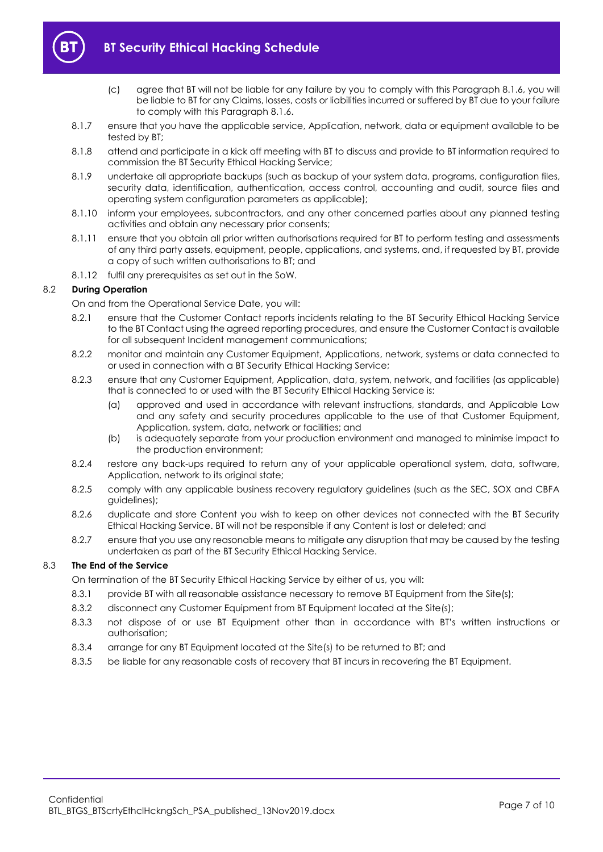

- (c) agree that BT will not be liable for any failure by you to comply with this Paragraph [8.1.6,](#page-5-4) you will be liable to BT for any Claims, losses, costs or liabilities incurred or suffered by BT due to your failure to comply with this Paragrap[h 8.1.6.](#page-5-4)
- 8.1.7 ensure that you have the applicable service, Application, network, data or equipment available to be tested by BT;
- 8.1.8 attend and participate in a kick off meeting with BT to discuss and provide to BT information required to commission the BT Security Ethical Hacking Service;
- 8.1.9 undertake all appropriate backups (such as backup of your system data, programs, configuration files, security data, identification, authentication, access control, accounting and audit, source files and operating system configuration parameters as applicable);
- 8.1.10 inform your employees, subcontractors, and any other concerned parties about any planned testing activities and obtain any necessary prior consents;
- 8.1.11 ensure that you obtain all prior written authorisations required for BT to perform testing and assessments of any third party assets, equipment, people, applications, and systems, and, if requested by BT, provide a copy of such written authorisations to BT; and
- 8.1.12 fulfil any prerequisites as set out in the SoW.

## 8.2 **During Operation**

On and from the Operational Service Date, you will:

- 8.2.1 ensure that the Customer Contact reports incidents relating to the BT Security Ethical Hacking Service to the BT Contact using the agreed reporting procedures, and ensure the Customer Contact is available for all subsequent Incident management communications;
- 8.2.2 monitor and maintain any Customer Equipment, Applications, network, systems or data connected to or used in connection with a BT Security Ethical Hacking Service;
- 8.2.3 ensure that any Customer Equipment, Application, data, system, network, and facilities (as applicable) that is connected to or used with the BT Security Ethical Hacking Service is:
	- (a) approved and used in accordance with relevant instructions, standards, and Applicable Law and any safety and security procedures applicable to the use of that Customer Equipment, Application, system, data, network or facilities; and
	- (b) is adequately separate from your production environment and managed to minimise impact to the production environment;
- 8.2.4 restore any back-ups required to return any of your applicable operational system, data, software, Application, network to its original state;
- 8.2.5 comply with any applicable business recovery regulatory guidelines (such as the SEC, SOX and CBFA guidelines);
- 8.2.6 duplicate and store Content you wish to keep on other devices not connected with the BT Security Ethical Hacking Service. BT will not be responsible if any Content is lost or deleted; and
- 8.2.7 ensure that you use any reasonable means to mitigate any disruption that may be caused by the testing undertaken as part of the BT Security Ethical Hacking Service.

## 8.3 **The End of the Service**

On termination of the BT Security Ethical Hacking Service by either of us, you will:

- 8.3.1 provide BT with all reasonable assistance necessary to remove BT Equipment from the Site(s);
- 8.3.2 disconnect any Customer Equipment from BT Equipment located at the Site(s);
- 8.3.3 not dispose of or use BT Equipment other than in accordance with BT's written instructions or authorisation;
- 8.3.4 arrange for any BT Equipment located at the Site(s) to be returned to BT; and
- 8.3.5 be liable for any reasonable costs of recovery that BT incurs in recovering the BT Equipment.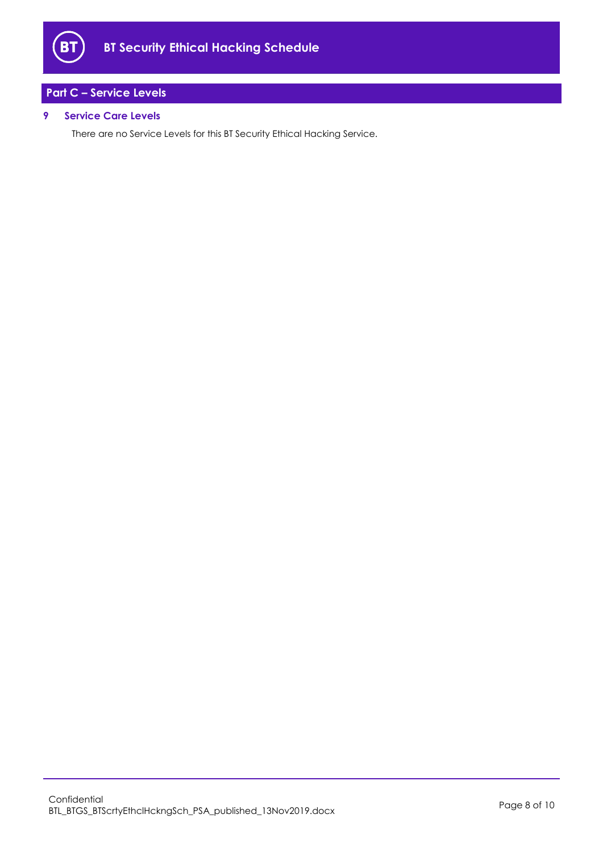

## <span id="page-7-0"></span>**Part C – Service Levels**

## <span id="page-7-1"></span>**9 Service Care Levels**

There are no Service Levels for this BT Security Ethical Hacking Service.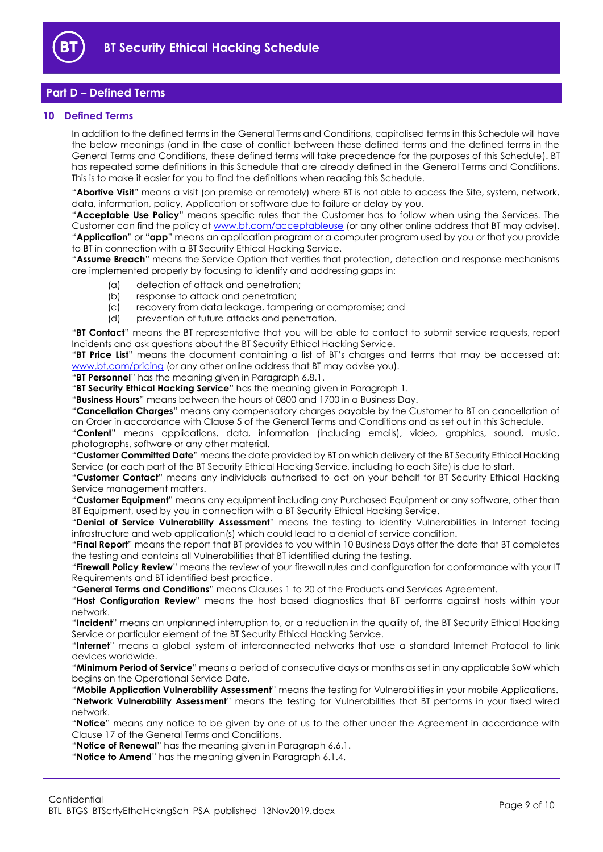

## <span id="page-8-0"></span>**Part D – Defined Terms**

#### <span id="page-8-1"></span>**10 Defined Terms**

In addition to the defined terms in the General Terms and Conditions, capitalised terms in this Schedule will have the below meanings (and in the case of conflict between these defined terms and the defined terms in the General Terms and Conditions, these defined terms will take precedence for the purposes of this Schedule). BT has repeated some definitions in this Schedule that are already defined in the General Terms and Conditions. This is to make it easier for you to find the definitions when reading this Schedule.

"**Abortive Visit**" means a visit (on premise or remotely) where BT is not able to access the Site, system, network, data, information, policy, Application or software due to failure or delay by you.

"**Acceptable Use Policy**" means specific rules that the Customer has to follow when using the Services. The Customer can find the policy at [www.bt.com/acceptableuse](http://www.bt.com/acceptableuse) (or any other online address that BT may advise). "**Application**" or "**app**" means an application program or a computer program used by you or that you provide to BT in connection with a BT Security Ethical Hacking Service.

"**Assume Breach**" means the Service Option that verifies that protection, detection and response mechanisms are implemented properly by focusing to identify and addressing gaps in:

- (a) detection of attack and penetration;
- (b) response to attack and penetration;
- (c) recovery from data leakage, tampering or compromise; and
- (d) prevention of future attacks and penetration.

"**BT Contact**" means the BT representative that you will be able to contact to submit service requests, report Incidents and ask questions about the BT Security Ethical Hacking Service.

"**BT Price List**" means the document containing a list of BT's charges and terms that may be accessed at: [www.bt.com/pricing](http://www.bt.com/pricing) (or any other online address that BT may advise you).

"**BT Personnel**" has the meaning given in Paragraph [6.8.1.](#page-4-0)

"**BT Security Ethical Hacking Service**" has the meaning given in Paragraph [1.](#page-1-2)

"**Business Hours**" means between the hours of 0800 and 1700 in a Business Day.

"**Cancellation Charges**" means any compensatory charges payable by the Customer to BT on cancellation of an Order in accordance with Clause 5 of the General Terms and Conditions and as set out in this Schedule.

"**Content**" means applications, data, information (including emails), video, graphics, sound, music, photographs, software or any other material.

"**Customer Committed Date**" means the date provided by BT on which delivery of the BT Security Ethical Hacking Service (or each part of the BT Security Ethical Hacking Service, including to each Site) is due to start.

"**Customer Contact**" means any individuals authorised to act on your behalf for BT Security Ethical Hacking Service management matters.

"**Customer Equipment**" means any equipment including any Purchased Equipment or any software, other than BT Equipment, used by you in connection with a BT Security Ethical Hacking Service.

"**Denial of Service Vulnerability Assessment**" means the testing to identify Vulnerabilities in Internet facing infrastructure and web application(s) which could lead to a denial of service condition.

"**Final Report**" means the report that BT provides to you within 10 Business Days after the date that BT completes the testing and contains all Vulnerabilities that BT identified during the testing.

"**Firewall Policy Review**" means the review of your firewall rules and configuration for conformance with your IT Requirements and BT identified best practice.

"**General Terms and Conditions**" means Clauses 1 to 20 of the Products and Services Agreement.

"**Host Configuration Review**" means the host based diagnostics that BT performs against hosts within your network.

"**Incident**" means an unplanned interruption to, or a reduction in the quality of, the BT Security Ethical Hacking Service or particular element of the BT Security Ethical Hacking Service.

"**Internet**" means a global system of interconnected networks that use a standard Internet Protocol to link devices worldwide.

"**Minimum Period of Service**" means a period of consecutive days or months as set in any applicable SoW which begins on the Operational Service Date.

"**Mobile Application Vulnerability Assessment**" means the testing for Vulnerabilities in your mobile Applications. "**Network Vulnerability Assessment**" means the testing for Vulnerabilities that BT performs in your fixed wired network.

"**Notice**" means any notice to be given by one of us to the other under the Agreement in accordance with Clause 17 of the General Terms and Conditions.

"**Notice of Renewal**" has the meaning given in Paragraph [6.6.1.](#page-3-1)

"**Notice to Amend**" has the meaning given in Paragraph [6.1.4.](#page-2-5)